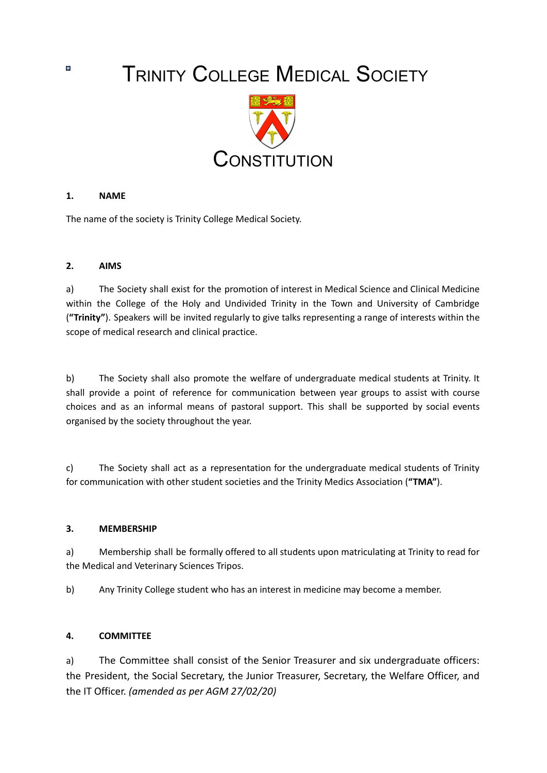TRINITY COLLEGE MEDICAL SOCIETY



### **1. NAME**

The name of the society is Trinity College Medical Society.

### **2. AIMS**

a) The Society shall exist for the promotion of interest in Medical Science and Clinical Medicine within the College of the Holy and Undivided Trinity in the Town and University of Cambridge (**"Trinity"**). Speakers will be invited regularly to give talks representing a range of interests within the scope of medical research and clinical practice.

b) The Society shall also promote the welfare of undergraduate medical students at Trinity. It shall provide a point of reference for communication between year groups to assist with course choices and as an informal means of pastoral support. This shall be supported by social events organised by the society throughout the year.

c) The Society shall act as a representation for the undergraduate medical students of Trinity for communication with other student societies and the Trinity Medics Association (**"TMA"**).

#### **3. MEMBERSHIP**

a) Membership shall be formally offered to all students upon matriculating at Trinity to read for the Medical and Veterinary Sciences Tripos.

b) Any Trinity College student who has an interest in medicine may become a member.

#### **4. COMMITTEE**

a) The Committee shall consist of the Senior Treasurer and six undergraduate officers: the President, the Social Secretary, the Junior Treasurer, Secretary, the Welfare Officer, and the IT Officer. *(amended as per AGM 27/02/20)*

o.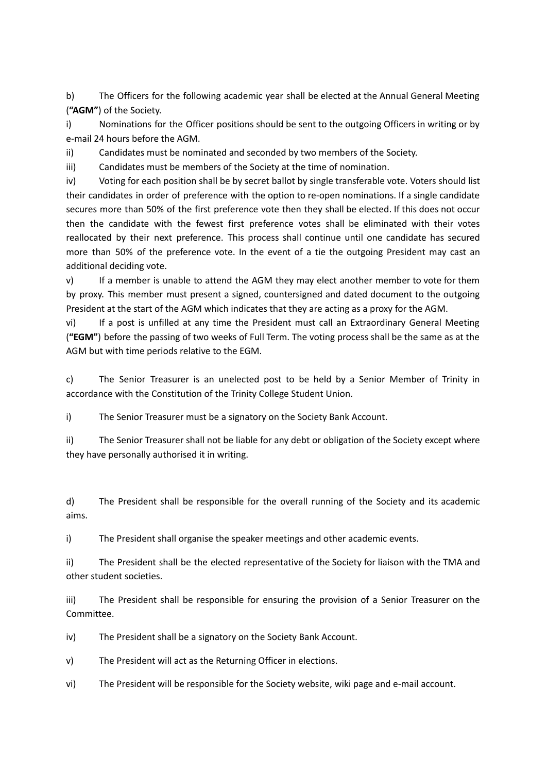b) The Officers for the following academic year shall be elected at the Annual General Meeting (**"AGM"**) of the Society.

i) Nominations for the Officer positions should be sent to the outgoing Officers in writing or by e-mail 24 hours before the AGM.

ii) Candidates must be nominated and seconded by two members of the Society.

iii) Candidates must be members of the Society at the time of nomination.

iv) Voting for each position shall be by secret ballot by single transferable vote. Voters should list their candidates in order of preference with the option to re-open nominations. If a single candidate secures more than 50% of the first preference vote then they shall be elected. If this does not occur then the candidate with the fewest first preference votes shall be eliminated with their votes reallocated by their next preference. This process shall continue until one candidate has secured more than 50% of the preference vote. In the event of a tie the outgoing President may cast an additional deciding vote.

v) If a member is unable to attend the AGM they may elect another member to vote for them by proxy. This member must present a signed, countersigned and dated document to the outgoing President at the start of the AGM which indicates that they are acting as a proxy for the AGM.

vi) If a post is unfilled at any time the President must call an Extraordinary General Meeting (**"EGM"**) before the passing of two weeks of Full Term. The voting process shall be the same as at the AGM but with time periods relative to the EGM.

c) The Senior Treasurer is an unelected post to be held by a Senior Member of Trinity in accordance with the Constitution of the Trinity College Student Union.

i) The Senior Treasurer must be a signatory on the Society Bank Account.

ii) The Senior Treasurer shall not be liable for any debt or obligation of the Society except where they have personally authorised it in writing.

d) The President shall be responsible for the overall running of the Society and its academic aims.

i) The President shall organise the speaker meetings and other academic events.

ii) The President shall be the elected representative of the Society for liaison with the TMA and other student societies.

iii) The President shall be responsible for ensuring the provision of a Senior Treasurer on the Committee.

iv) The President shall be a signatory on the Society Bank Account.

v) The President will act as the Returning Officer in elections.

vi) The President will be responsible for the Society website, wiki page and e-mail account.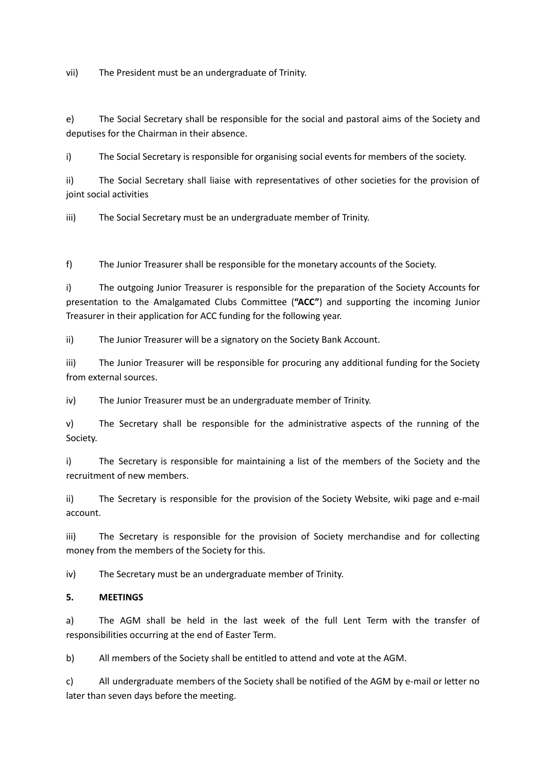vii) The President must be an undergraduate of Trinity.

e) The Social Secretary shall be responsible for the social and pastoral aims of the Society and deputises for the Chairman in their absence.

i) The Social Secretary is responsible for organising social events for members of the society.

ii) The Social Secretary shall liaise with representatives of other societies for the provision of joint social activities

iii) The Social Secretary must be an undergraduate member of Trinity.

f) The Junior Treasurer shall be responsible for the monetary accounts of the Society.

i) The outgoing Junior Treasurer is responsible for the preparation of the Society Accounts for presentation to the Amalgamated Clubs Committee (**"ACC"**) and supporting the incoming Junior Treasurer in their application for ACC funding for the following year.

ii) The Junior Treasurer will be a signatory on the Society Bank Account.

iii) The Junior Treasurer will be responsible for procuring any additional funding for the Society from external sources.

iv) The Junior Treasurer must be an undergraduate member of Trinity.

v) The Secretary shall be responsible for the administrative aspects of the running of the Society.

i) The Secretary is responsible for maintaining a list of the members of the Society and the recruitment of new members.

ii) The Secretary is responsible for the provision of the Society Website, wiki page and e-mail account.

iii) The Secretary is responsible for the provision of Society merchandise and for collecting money from the members of the Society for this.

iv) The Secretary must be an undergraduate member of Trinity.

# **5. MEETINGS**

a) The AGM shall be held in the last week of the full Lent Term with the transfer of responsibilities occurring at the end of Easter Term.

b) All members of the Society shall be entitled to attend and vote at the AGM.

c) All undergraduate members of the Society shall be notified of the AGM by e-mail or letter no later than seven days before the meeting.